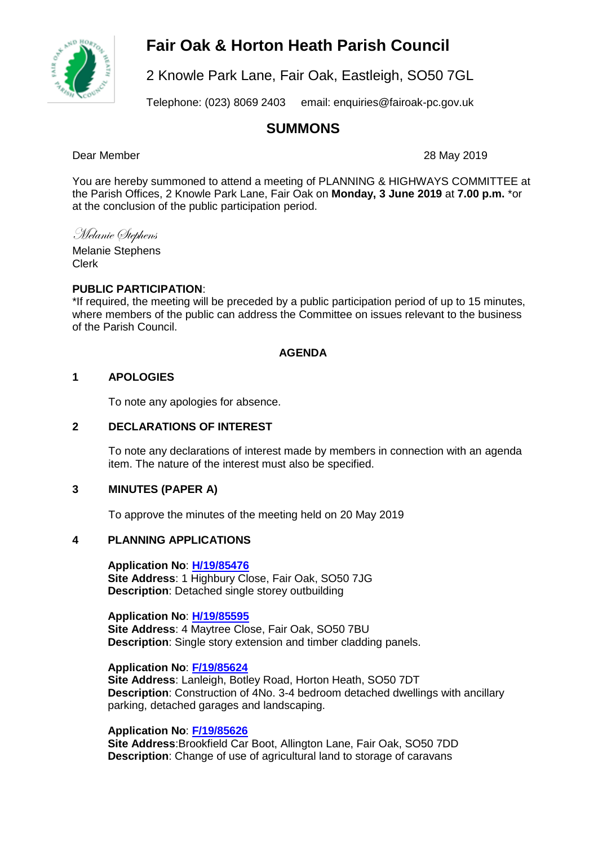# **Fair Oak & Horton Heath Parish Council**



2 Knowle Park Lane, Fair Oak, Eastleigh, SO50 7GL

Telephone: (023) 8069 2403 email: enquiries@fairoak-pc.gov.uk

# **SUMMONS**

Dear Member 28 May 2019

You are hereby summoned to attend a meeting of PLANNING & HIGHWAYS COMMITTEE at the Parish Offices, 2 Knowle Park Lane, Fair Oak on **Monday, 3 June 2019** at **7.00 p.m.** \*or at the conclusion of the public participation period.

Melanie Stephens

Melanie Stephens Clerk

## **PUBLIC PARTICIPATION**:

\*If required, the meeting will be preceded by a public participation period of up to 15 minutes, where members of the public can address the Committee on issues relevant to the business of the Parish Council.

## **AGENDA**

## **1 APOLOGIES**

To note any apologies for absence.

# **2 DECLARATIONS OF INTEREST**

To note any declarations of interest made by members in connection with an agenda item. The nature of the interest must also be specified.

#### **3 MINUTES (PAPER A)**

To approve the minutes of the meeting held on 20 May 2019

# **4 PLANNING APPLICATIONS**

**Application No**: **[H/19/85476](https://planning.eastleigh.gov.uk/s/papplication/a1M1v000004JDbc) Site Address**: 1 Highbury Close, Fair Oak, SO50 7JG **Description**: Detached single storey outbuilding

#### **Application No**: **[H/19/85595](https://planning.eastleigh.gov.uk/s/papplication/a1M1v000004JF7H)**

**Site Address**: 4 Maytree Close, Fair Oak, SO50 7BU **Description**: Single story extension and timber cladding panels.

#### **Application No**: **[F/19/85624](https://planning.eastleigh.gov.uk/s/papplication/a1M1v000004JFI1)**

**Site Address**: Lanleigh, Botley Road, Horton Heath, SO50 7DT **Description**: Construction of 4No. 3-4 bedroom detached dwellings with ancillary parking, detached garages and landscaping.

#### **Application No**: **[F/19/85626](https://planning.eastleigh.gov.uk/s/papplication/a1M1v000004JFKq)**

**Site Address**:Brookfield Car Boot, Allington Lane, Fair Oak, SO50 7DD **Description**: Change of use of agricultural land to storage of caravans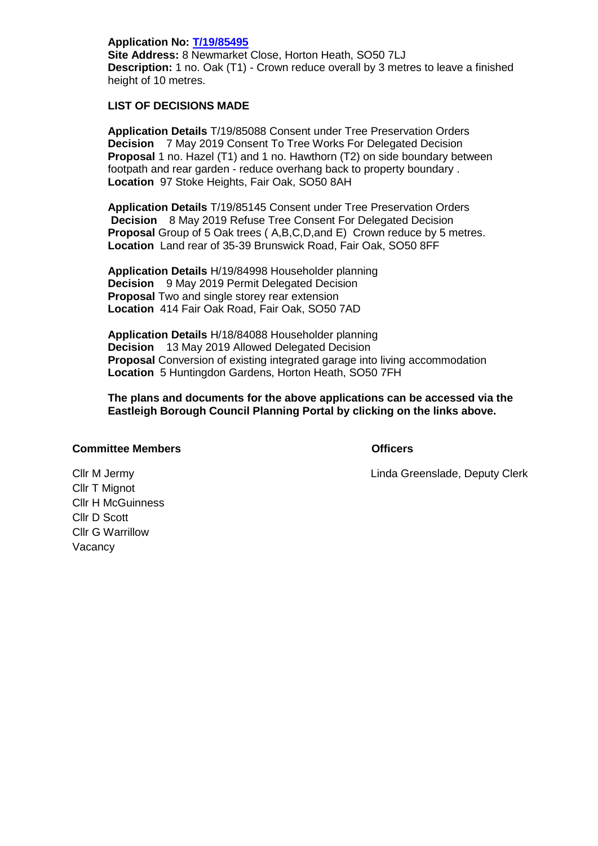**Application No: [T/19/85495](mailto:https://planning.eastleigh.gov.uk/s/public-register)  Site Address:** 8 Newmarket Close, Horton Heath, SO50 7LJ **Description:** 1 no. Oak (T1) - Crown reduce overall by 3 metres to leave a finished height of 10 metres.

#### **LIST OF DECISIONS MADE**

**Application Details** T/19/85088 Consent under Tree Preservation Orders **Decision** 7 May 2019 Consent To Tree Works For Delegated Decision **Proposal** 1 no. Hazel (T1) and 1 no. Hawthorn (T2) on side boundary between footpath and rear garden - reduce overhang back to property boundary . **Location** 97 Stoke Heights, Fair Oak, SO50 8AH

**Application Details** T/19/85145 Consent under Tree Preservation Orders **Decision** 8 May 2019 Refuse Tree Consent For Delegated Decision **Proposal** Group of 5 Oak trees ( A,B,C,D,and E) Crown reduce by 5 metres. **Location** Land rear of 35-39 Brunswick Road, Fair Oak, SO50 8FF

**Application Details** H/19/84998 Householder planning **Decision** 9 May 2019 Permit Delegated Decision **Proposal** Two and single storey rear extension **Location** 414 Fair Oak Road, Fair Oak, SO50 7AD

**Application Details** H/18/84088 Householder planning **Decision** 13 May 2019 Allowed Delegated Decision **Proposal** Conversion of existing integrated garage into living accommodation **Location** 5 Huntingdon Gardens, Horton Heath, SO50 7FH

**The plans and documents for the above applications can be accessed via the Eastleigh Borough Council Planning Portal by clicking on the links above.**

#### **Committee Members Officers**

Cllr M Jermy Linda Greenslade, Deputy Clerk

Cllr T Mignot Cllr H McGuinness Cllr D Scott Cllr G Warrillow Vacancy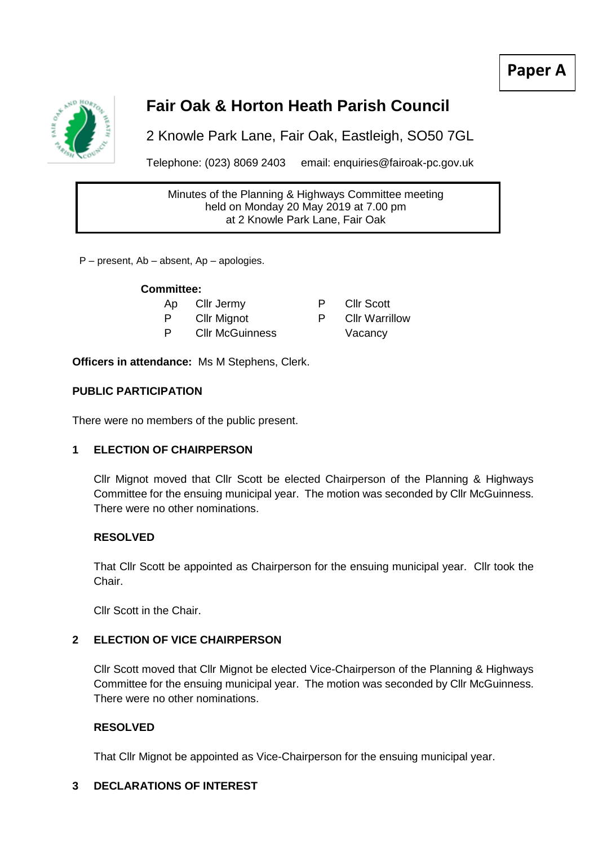# **Paper A**



# **Fair Oak & Horton Heath Parish Council**

2 Knowle Park Lane, Fair Oak, Eastleigh, SO50 7GL

Telephone: (023) 8069 2403 email: enquiries@fairoak-pc.gov.uk

Minutes of the Planning & Highways Committee meeting held on Monday 20 May 2019 at 7.00 pm at 2 Knowle Park Lane, Fair Oak

P – present, Ab – absent, Ap – apologies.

## **Committee:**

Ap Cllr Jermy F

- P Cllr Mignot P Cllr Warrillow
- P Cllr McGuinness
- 

**Officers in attendance:** Ms M Stephens, Clerk.

# **PUBLIC PARTICIPATION**

There were no members of the public present.

# **1 ELECTION OF CHAIRPERSON**

Cllr Mignot moved that Cllr Scott be elected Chairperson of the Planning & Highways Committee for the ensuing municipal year. The motion was seconded by Cllr McGuinness. There were no other nominations.

# **RESOLVED**

That Cllr Scott be appointed as Chairperson for the ensuing municipal year. Cllr took the Chair.

Cllr Scott in the Chair.

# **2 ELECTION OF VICE CHAIRPERSON**

Cllr Scott moved that Cllr Mignot be elected Vice-Chairperson of the Planning & Highways Committee for the ensuing municipal year. The motion was seconded by Cllr McGuinness. There were no other nominations.

# **RESOLVED**

That Cllr Mignot be appointed as Vice-Chairperson for the ensuing municipal year.

# **3 DECLARATIONS OF INTEREST**

|   | <b>Cllr Scott</b>     |
|---|-----------------------|
| כ | <b>Cllr Warrillov</b> |
|   | Vacancy               |
|   |                       |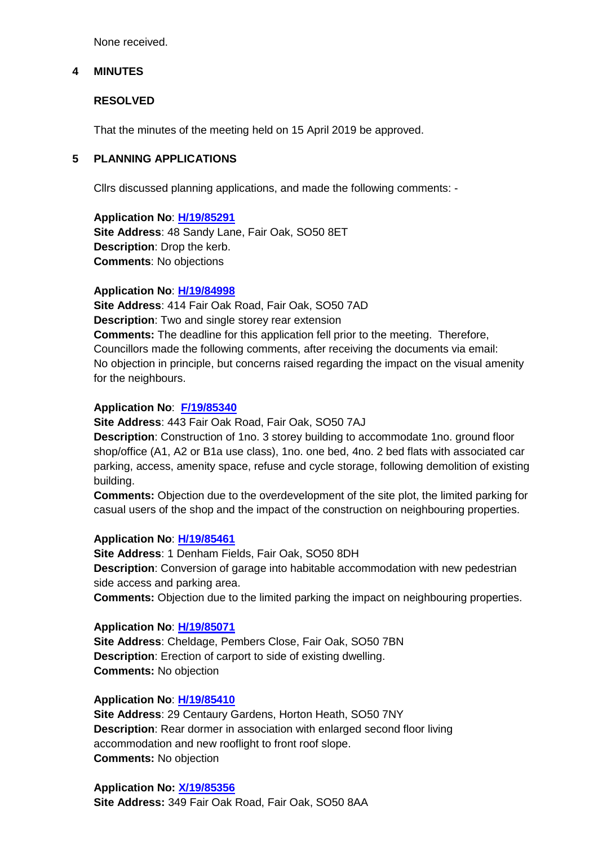None received.

#### **4 MINUTES**

## **RESOLVED**

That the minutes of the meeting held on 15 April 2019 be approved.

# **5 PLANNING APPLICATIONS**

Cllrs discussed planning applications, and made the following comments: -

**Application No**: **[H/19/85291](https://planning.eastleigh.gov.uk/s/papplication/a1M1v0000064p6j) Site Address**: 48 Sandy Lane, Fair Oak, SO50 8ET **Description**: Drop the kerb. **Comments**: No objections

#### **Application No**: **[H/19/84998](https://planning.eastleigh.gov.uk/s/papplication/a1M1v0000064aFS)**

**Site Address**: 414 Fair Oak Road, Fair Oak, SO50 7AD **Description**: Two and single storey rear extension **Comments:** The deadline for this application fell prior to the meeting. Therefore, Councillors made the following comments, after receiving the documents via email: No objection in principle, but concerns raised regarding the impact on the visual amenity for the neighbours.

#### **Application No**: **[F/19/85340](https://planning.eastleigh.gov.uk/s/papplication/a1M1v0000064rcQ)**

**Site Address**: 443 Fair Oak Road, Fair Oak, SO50 7AJ

**Description**: Construction of 1no. 3 storey building to accommodate 1no. ground floor shop/office (A1, A2 or B1a use class), 1no. one bed, 4no. 2 bed flats with associated car parking, access, amenity space, refuse and cycle storage, following demolition of existing building.

**Comments:** Objection due to the overdevelopment of the site plot, the limited parking for casual users of the shop and the impact of the construction on neighbouring properties.

#### **Application No**: **[H/19/85461](https://planning.eastleigh.gov.uk/s/papplication/a1M1v000004JD3P)**

**Site Address**: 1 Denham Fields, Fair Oak, SO50 8DH **Description**: Conversion of garage into habitable accommodation with new pedestrian side access and parking area.

**Comments:** Objection due to the limited parking the impact on neighbouring properties.

#### **Application No**: **[H/19/85071](https://planning.eastleigh.gov.uk/s/papplication/a1M1v0000064geb)**

**Site Address**: Cheldage, Pembers Close, Fair Oak, SO50 7BN **Description**: Erection of carport to side of existing dwelling. **Comments:** No objection

#### **Application No**: **[H/19/85410](https://planning.eastleigh.gov.uk/s/papplication/a1M1v000004JC9J)**

**Site Address**: 29 Centaury Gardens, Horton Heath, SO50 7NY **Description**: Rear dormer in association with enlarged second floor living accommodation and new rooflight to front roof slope. **Comments:** No objection

**Application No: [X/19/85356](https://planning.eastleigh.gov.uk/s/public-register) Site Address:** 349 Fair Oak Road, Fair Oak, SO50 8AA